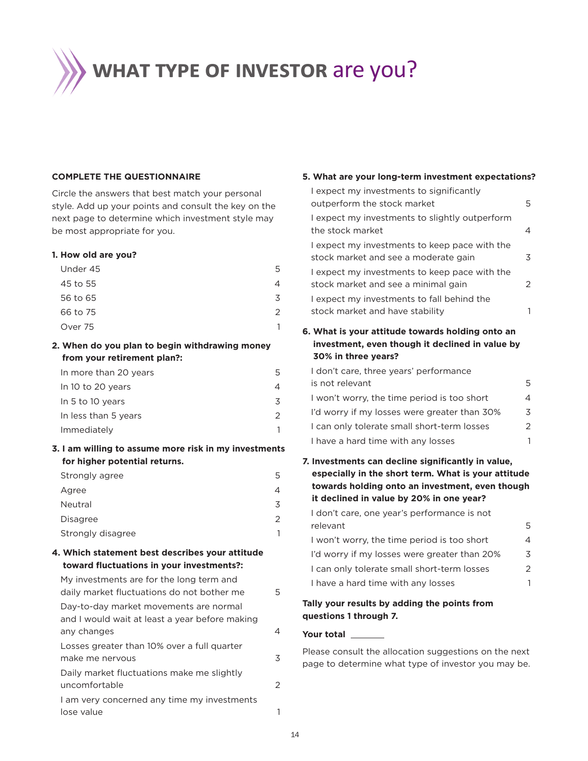**WHAT TYPE OF INVESTOR are you?** 

#### **COMPLETE THE QUESTIONNAIRE**

Circle the answers that best match your personal style. Add up your points and consult the key on the next page to determine which investment style may be most appropriate for you.

| ________ |   |
|----------|---|
| Under 45 | 5 |
| 45 to 55 |   |
| 56 to 65 | 3 |
| 66 to 75 |   |
| Over 75  |   |
|          |   |

## **2. When do you plan to begin withdrawing money from your retirement plan?:**

| In more than 20 years |  |
|-----------------------|--|
| In 10 to 20 years     |  |
| In 5 to 10 years      |  |
| In less than 5 years  |  |
| Immediately           |  |

**3. I am willing to assume more risk in my investments** 

| Strongly agree    | 5 |
|-------------------|---|
| Agree             |   |
| Neutral           | 3 |
| Disagree          |   |
| Strongly disagree |   |

## **4. Which statement best describes your attitude**

| My investments are for the long term and<br>daily market fluctuations do not bother me   | 5 |
|------------------------------------------------------------------------------------------|---|
| Day-to-day market movements are normal<br>and I would wait at least a year before making |   |
| any changes                                                                              |   |
| Losses greater than 10% over a full quarter<br>make me nervous                           | 3 |
| Daily market fluctuations make me slightly<br>uncomfortable                              | 2 |
| I am very concerned any time my investments<br>lose value                                |   |
|                                                                                          |   |

### **5. What are your long-term investment expectations?**

| I expect my investments to significantly<br>outperform the stock market                                   | 5 |
|-----------------------------------------------------------------------------------------------------------|---|
| I expect my investments to slightly outperform<br>the stock market                                        | 4 |
| I expect my investments to keep pace with the<br>stock market and see a moderate gain                     | 3 |
| I expect my investments to keep pace with the<br>stock market and see a minimal gain                      | 2 |
| I expect my investments to fall behind the<br>stock market and have stability                             | 1 |
| 6. What is your attitude towards holding onto an<br>investment, even though it declined in value by       |   |
| 30% in three years?                                                                                       |   |
| I don't care, three years' performance                                                                    |   |
| is not relevant                                                                                           | 5 |
| I won't worry, the time period is too short                                                               | 4 |
| I'd worry if my losses were greater than 30%                                                              | 3 |
| I can only tolerate small short-term losses                                                               | 2 |
| I have a hard time with any losses                                                                        | 1 |
| 7. Investments can decline significantly in value,<br>especially in the short term. What is your attitude |   |
| towards holding onto an investment, even though                                                           |   |
| it declined in value by 20% in one year?                                                                  |   |
| I don't care, one year's performance is not<br>relevant                                                   | 5 |
| I won't worry, the time period is too short                                                               | 4 |
| I'd worry if my losses were greater than 20%                                                              | 3 |
| I can only tolerate small short-term losses                                                               | 2 |
| I have a hard time with any losses                                                                        | 1 |
|                                                                                                           |   |
| Tally your results by adding the points from<br>questions 1 through 7.                                    |   |

Please consult the allocation suggestions on the next page to determine what type of investor you may be.